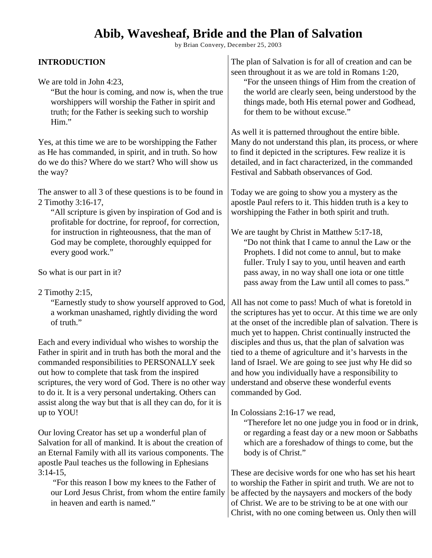# **Abib, Wavesheaf, Bride and the Plan of Salvation**

by Brian Convery, December 25, 2003

The plan of Salvation is for all of creation and can be

### **INTRODUCTION**

| We are told in John 4:23,<br>"But the hour is coming, and now is, when the true<br>worshippers will worship the Father in spirit and<br>truth; for the Father is seeking such to worship<br>Him."                                                                                                                                                                                                        | seen throughout it as we are told in Romans 1:20,<br>"For the unseen things of Him from the creation of<br>the world are clearly seen, being understood by the<br>things made, both His eternal power and Godhead,<br>for them to be without excuse."                                                 |
|----------------------------------------------------------------------------------------------------------------------------------------------------------------------------------------------------------------------------------------------------------------------------------------------------------------------------------------------------------------------------------------------------------|-------------------------------------------------------------------------------------------------------------------------------------------------------------------------------------------------------------------------------------------------------------------------------------------------------|
| Yes, at this time we are to be worshipping the Father<br>as He has commanded, in spirit, and in truth. So how<br>do we do this? Where do we start? Who will show us<br>the way?                                                                                                                                                                                                                          | As well it is patterned throughout the entire bible.<br>Many do not understand this plan, its process, or where<br>to find it depicted in the scriptures. Few realize it is<br>detailed, and in fact characterized, in the commanded<br>Festival and Sabbath observances of God.                      |
| The answer to all 3 of these questions is to be found in<br>2 Timothy 3:16-17,<br>"All scripture is given by inspiration of God and is<br>profitable for doctrine, for reproof, for correction,<br>for instruction in righteousness, that the man of                                                                                                                                                     | Today we are going to show you a mystery as the<br>apostle Paul refers to it. This hidden truth is a key to<br>worshipping the Father in both spirit and truth.<br>We are taught by Christ in Matthew 5:17-18,                                                                                        |
| God may be complete, thoroughly equipped for<br>every good work."<br>So what is our part in it?<br>2 Timothy $2:15$ ,                                                                                                                                                                                                                                                                                    | "Do not think that I came to annul the Law or the<br>Prophets. I did not come to annul, but to make<br>fuller. Truly I say to you, until heaven and earth<br>pass away, in no way shall one iota or one tittle<br>pass away from the Law until all comes to pass."                                    |
| "Earnestly study to show yourself approved to God,<br>a workman unashamed, rightly dividing the word<br>of truth."                                                                                                                                                                                                                                                                                       | All has not come to pass! Much of what is foretold in<br>the scriptures has yet to occur. At this time we are only<br>at the onset of the incredible plan of salvation. There is<br>much yet to happen. Christ continually instructed the                                                             |
| Each and every individual who wishes to worship the<br>Father in spirit and in truth has both the moral and the<br>commanded responsibilities to PERSONALLY seek<br>out how to complete that task from the inspired<br>scriptures, the very word of God. There is no other way<br>to do it. It is a very personal undertaking. Others can<br>assist along the way but that is all they can do, for it is | disciples and thus us, that the plan of salvation was<br>tied to a theme of agriculture and it's harvests in the<br>land of Israel. We are going to see just why He did so<br>and how you individually have a responsibility to<br>understand and observe these wonderful events<br>commanded by God. |
| up to YOU!<br>Our loving Creator has set up a wonderful plan of<br>Salvation for all of mankind. It is about the creation of<br>an Eternal Family with all its various components. The                                                                                                                                                                                                                   | In Colossians 2:16-17 we read,<br>"Therefore let no one judge you in food or in drink,<br>or regarding a feast day or a new moon or Sabbaths<br>which are a foreshadow of things to come, but the<br>body is of Christ."                                                                              |
| apostle Paul teaches us the following in Ephesians<br>$3:14-15$ ,<br>"For this reason I bow my knees to the Father of<br>our Lord Jesus Christ, from whom the entire family<br>in heaven and earth is named."                                                                                                                                                                                            | These are decisive words for one who has set his heart<br>to worship the Father in spirit and truth. We are not to<br>be affected by the naysayers and mockers of the body<br>of Christ. We are to be striving to be at one with our<br>Christ, with no one coming between us. Only then will         |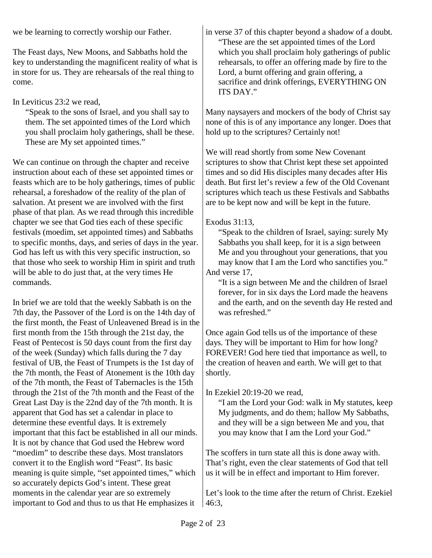we be learning to correctly worship our Father.

The Feast days, New Moons, and Sabbaths hold the key to understanding the magnificent reality of what is in store for us. They are rehearsals of the real thing to come.

# In Leviticus 23:2 we read,

"Speak to the sons of Israel, and you shall say to them. The set appointed times of the Lord which you shall proclaim holy gatherings, shall be these. These are My set appointed times."

We can continue on through the chapter and receive instruction about each of these set appointed times or feasts which are to be holy gatherings, times of public rehearsal, a foreshadow of the reality of the plan of salvation. At present we are involved with the first phase of that plan. As we read through this incredible chapter we see that God ties each of these specific festivals (moedim, set appointed times) and Sabbaths to specific months, days, and series of days in the year. God has left us with this very specific instruction, so that those who seek to worship Him in spirit and truth will be able to do just that, at the very times He commands.

In brief we are told that the weekly Sabbath is on the 7th day, the Passover of the Lord is on the 14th day of the first month, the Feast of Unleavened Bread is in the first month from the 15th through the 21st day, the Feast of Pentecost is 50 days count from the first day of the week (Sunday) which falls during the 7 day festival of UB, the Feast of Trumpets is the 1st day of the 7th month, the Feast of Atonement is the 10th day of the 7th month, the Feast of Tabernacles is the 15th through the 21st of the 7th month and the Feast of the Great Last Day is the 22nd day of the 7th month. It is apparent that God has set a calendar in place to determine these eventful days. It is extremely important that this fact be established in all our minds. It is not by chance that God used the Hebrew word "moedim" to describe these days. Most translators convert it to the English word "Feast". Its basic meaning is quite simple, "set appointed times," which so accurately depicts God's intent. These great moments in the calendar year are so extremely important to God and thus to us that He emphasizes it

in verse 37 of this chapter beyond a shadow of a doubt. "These are the set appointed times of the Lord which you shall proclaim holy gatherings of public rehearsals, to offer an offering made by fire to the Lord, a burnt offering and grain offering, a sacrifice and drink offerings, EVERYTHING ON ITS DAY."

Many naysayers and mockers of the body of Christ say none of this is of any importance any longer. Does that hold up to the scriptures? Certainly not!

We will read shortly from some New Covenant scriptures to show that Christ kept these set appointed times and so did His disciples many decades after His death. But first let's review a few of the Old Covenant scriptures which teach us these Festivals and Sabbaths are to be kept now and will be kept in the future.

## Exodus 31:13,

"Speak to the children of Israel, saying: surely My Sabbaths you shall keep, for it is a sign between Me and you throughout your generations, that you may know that I am the Lord who sanctifies you." And verse 17,

"It is a sign between Me and the children of Israel forever, for in six days the Lord made the heavens and the earth, and on the seventh day He rested and was refreshed."

Once again God tells us of the importance of these days. They will be important to Him for how long? FOREVER! God here tied that importance as well, to the creation of heaven and earth. We will get to that shortly.

In Ezekiel 20:19-20 we read,

"I am the Lord your God: walk in My statutes, keep My judgments, and do them; hallow My Sabbaths, and they will be a sign between Me and you, that you may know that I am the Lord your God."

The scoffers in turn state all this is done away with. That's right, even the clear statements of God that tell us it will be in effect and important to Him forever.

Let's look to the time after the return of Christ. Ezekiel 46:3,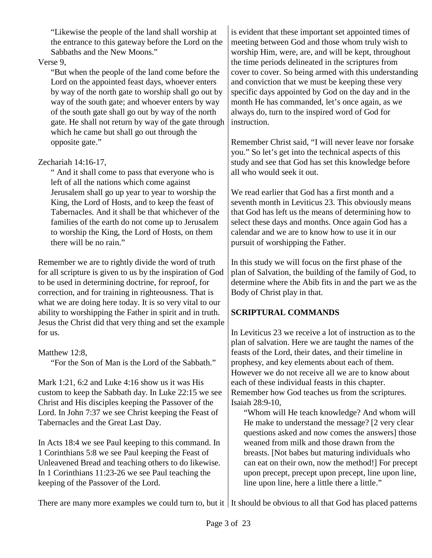"Likewise the people of the land shall worship at the entrance to this gateway before the Lord on the Sabbaths and the New Moons."

### Verse 9,

"But when the people of the land come before the Lord on the appointed feast days, whoever enters by way of the north gate to worship shall go out by way of the south gate; and whoever enters by way of the south gate shall go out by way of the north gate. He shall not return by way of the gate through which he came but shall go out through the opposite gate."

## Zechariah 14:16-17,

" And it shall come to pass that everyone who is left of all the nations which come against Jerusalem shall go up year to year to worship the King, the Lord of Hosts, and to keep the feast of Tabernacles. And it shall be that whichever of the families of the earth do not come up to Jerusalem to worship the King, the Lord of Hosts, on them there will be no rain."

Remember we are to rightly divide the word of truth for all scripture is given to us by the inspiration of God to be used in determining doctrine, for reproof, for correction, and for training in righteousness. That is what we are doing here today. It is so very vital to our ability to worshipping the Father in spirit and in truth. Jesus the Christ did that very thing and set the example for us.

### Matthew 12:8.

"For the Son of Man is the Lord of the Sabbath."

Mark 1:21, 6:2 and Luke 4:16 show us it was His custom to keep the Sabbath day. In Luke 22:15 we see Christ and His disciples keeping the Passover of the Lord. In John 7:37 we see Christ keeping the Feast of Tabernacles and the Great Last Day.

In Acts 18:4 we see Paul keeping to this command. In 1 Corinthians 5:8 we see Paul keeping the Feast of Unleavened Bread and teaching others to do likewise. In 1 Corinthians 11:23-26 we see Paul teaching the keeping of the Passover of the Lord.

is evident that these important set appointed times of meeting between God and those whom truly wish to worship Him, were, are, and will be kept, throughout the time periods delineated in the scriptures from cover to cover. So being armed with this understanding and conviction that we must be keeping these very specific days appointed by God on the day and in the month He has commanded, let's once again, as we always do, turn to the inspired word of God for instruction.

Remember Christ said, "I will never leave nor forsake you." So let's get into the technical aspects of this study and see that God has set this knowledge before all who would seek it out.

We read earlier that God has a first month and a seventh month in Leviticus 23. This obviously means that God has left us the means of determining how to select these days and months. Once again God has a calendar and we are to know how to use it in our pursuit of worshipping the Father.

In this study we will focus on the first phase of the plan of Salvation, the building of the family of God, to determine where the Abib fits in and the part we as the Body of Christ play in that.

# **SCRIPTURAL COMMANDS**

In Leviticus 23 we receive a lot of instruction as to the plan of salvation. Here we are taught the names of the feasts of the Lord, their dates, and their timeline in prophesy, and key elements about each of them. However we do not receive all we are to know about each of these individual feasts in this chapter. Remember how God teaches us from the scriptures. Isaiah 28:9-10,

"Whom will He teach knowledge? And whom will He make to understand the message? [2 very clear questions asked and now comes the answers] those weaned from milk and those drawn from the breasts. [Not babes but maturing individuals who can eat on their own, now the method!] For precept upon precept, precept upon precept, line upon line, line upon line, here a little there a little."

There are many more examples we could turn to, but it It should be obvious to all that God has placed patterns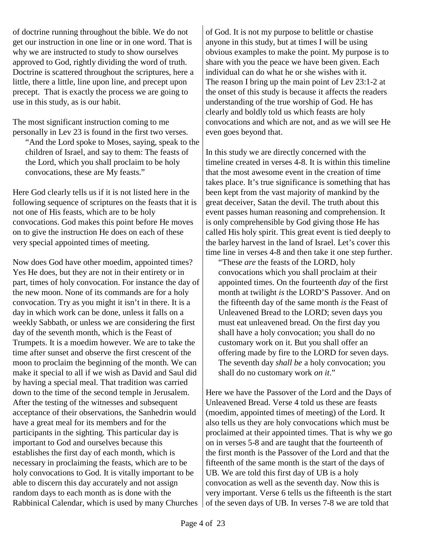of doctrine running throughout the bible. We do not get our instruction in one line or in one word. That is why we are instructed to study to show ourselves approved to God, rightly dividing the word of truth. Doctrine is scattered throughout the scriptures, here a little, there a little, line upon line, and precept upon precept. That is exactly the process we are going to use in this study, as is our habit.

The most significant instruction coming to me personally in Lev 23 is found in the first two verses. "And the Lord spoke to Moses, saying, speak to the

children of Israel, and say to them: The feasts of the Lord, which you shall proclaim to be holy convocations, these are My feasts."

Here God clearly tells us if it is not listed here in the following sequence of scriptures on the feasts that it is not one of His feasts, which are to be holy convocations. God makes this point before He moves on to give the instruction He does on each of these very special appointed times of meeting.

Now does God have other moedim, appointed times? Yes He does, but they are not in their entirety or in part, times of holy convocation. For instance the day of the new moon. None of its commands are for a holy convocation. Try as you might it isn't in there. It is a day in which work can be done, unless it falls on a weekly Sabbath, or unless we are considering the first day of the seventh month, which is the Feast of Trumpets. It is a moedim however. We are to take the time after sunset and observe the first crescent of the moon to proclaim the beginning of the month. We can make it special to all if we wish as David and Saul did by having a special meal. That tradition was carried down to the time of the second temple in Jerusalem. After the testing of the witnesses and subsequent acceptance of their observations, the Sanhedrin would have a great meal for its members and for the participants in the sighting. This particular day is important to God and ourselves because this establishes the first day of each month, which is necessary in proclaiming the feasts, which are to be holy convocations to God. It is vitally important to be able to discern this day accurately and not assign random days to each month as is done with the Rabbinical Calendar, which is used by many Churches

of God. It is not my purpose to belittle or chastise anyone in this study, but at times I will be using obvious examples to make the point. My purpose is to share with you the peace we have been given. Each individual can do what he or she wishes with it. The reason I bring up the main point of Lev 23:1-2 at the onset of this study is because it affects the readers understanding of the true worship of God. He has clearly and boldly told us which feasts are holy convocations and which are not, and as we will see He even goes beyond that.

In this study we are directly concerned with the timeline created in verses 4-8. It is within this timeline that the most awesome event in the creation of time takes place. It's true significance is something that has been kept from the vast majority of mankind by the great deceiver, Satan the devil. The truth about this event passes human reasoning and comprehension. It is only comprehensible by God giving those He has called His holy spirit. This great event is tied deeply to the barley harvest in the land of Israel. Let's cover this time line in verses 4-8 and then take it one step further.

"These *are* the feasts of the LORD, holy convocations which you shall proclaim at their appointed times. On the fourteenth *day* of the first month at twilight *is* the LORD'S Passover. And on the fifteenth day of the same month *is* the Feast of Unleavened Bread to the LORD; seven days you must eat unleavened bread. On the first day you shall have a holy convocation; you shall do no customary work on it. But you shall offer an offering made by fire to the LORD for seven days. The seventh day *shall be* a holy convocation; you shall do no customary work *on it*."

Here we have the Passover of the Lord and the Days of Unleavened Bread. Verse 4 told us these are feasts (moedim, appointed times of meeting) of the Lord. It also tells us they are holy convocations which must be proclaimed at their appointed times. That is why we go on in verses 5-8 and are taught that the fourteenth of the first month is the Passover of the Lord and that the fifteenth of the same month is the start of the days of UB. We are told this first day of UB is a holy convocation as well as the seventh day. Now this is very important. Verse 6 tells us the fifteenth is the start of the seven days of UB. In verses 7-8 we are told that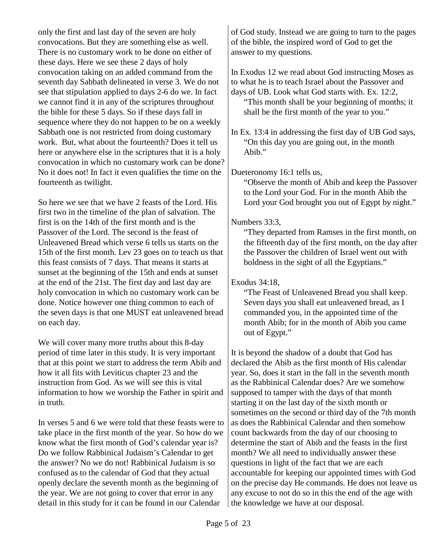only the first and last day of the seven are holy convocations. But they are something else as well. There is no customary work to be done on either of these days. Here we see these 2 days of holy convocation taking on an added command from the seventh day Sabbath delineated in verse 3. We do not see that stipulation applied to days 2-6 do we. In fact we cannot find it in any of the scriptures throughout the bible for these 5 days. So if these days fall in sequence where they do not happen to be on a weekly Sabbath one is not restricted from doing customary work. But, what about the fourteenth? Does it tell us here or anywhere else in the scriptures that it is a holy convocation in which no customary work can be done? No it does not! In fact it even qualifies the time on the fourteenth as twilight.

So here we see that we have 2 feasts of the Lord. His first two in the timeline of the plan of salvation. The first is on the 14th of the first month and is the Passover of the Lord. The second is the feast of Unleavened Bread which verse 6 tells us starts on the 15th of the first month. Lev 23 goes on to teach us that this feast consists of 7 days. That means it starts at sunset at the beginning of the 15th and ends at sunset at the end of the 21st. The first day and last day are holy convocation in which no customary work can be done. Notice however one thing common to each of the seven days is that one MUST eat unleavened bread on each day.

We will cover many more truths about this 8-day period of time later in this study. It is very important that at this point we start to address the term Abib and how it all fits with Leviticus chapter 23 and the instruction from God. As we will see this is vital information to how we worship the Father in spirit and in truth.

In verses 5 and 6 we were told that these feasts were to take place in the first month of the year. So how do we know what the first month of God's calendar year is? Do we follow Rabbinical Judaism's Calendar to get the answer? No we do not! Rabbinical Judaism is so confused as to the calendar of God that they actual openly declare the seventh month as the beginning of the year. We are not going to cover that error in any detail in this study for it can be found in our Calendar

of God study. Instead we are going to turn to the pages of the bible, the inspired word of God to get the answer to my questions.

In Exodus 12 we read about God instructing Moses as to what he is to teach Israel about the Passover and days of UB. Look what God starts with. Ex. 12:2,

"This month shall be your beginning of months; it shall be the first month of the year to you."

In Ex. 13:4 in addressing the first day of UB God says, "On this day you are going out, in the month Abib."

Dueteronomy 16:1 tells us,

"Observe the month of Abib and keep the Passover to the Lord your God. For in the month Abib the Lord your God brought you out of Egypt by night."

### Numbers 33:3,

"They departed from Ramses in the first month, on the fifteenth day of the first month, on the day after the Passover the children of Israel went out with boldness in the sight of all the Egyptians."

# Exodus 34:18,

"The Feast of Unleavened Bread you shall keep. Seven days you shall eat unleavened bread, as I commanded you, in the appointed time of the month Abib; for in the month of Abib you came out of Egypt."

It is beyond the shadow of a doubt that God has declared the Abib as the first month of His calendar year. So, does it start in the fall in the seventh month as the Rabbinical Calendar does? Are we somehow supposed to tamper with the days of that month starting it on the last day of the sixth month or sometimes on the second or third day of the 7th month as does the Rabbinical Calendar and then somehow count backwards from the day of our choosing to determine the start of Abib and the feasts in the first month? We all need to individually answer these questions in light of the fact that we are each accountable for keeping our appointed times with God on the precise day He commands. He does not leave us any excuse to not do so in this the end of the age with the knowledge we have at our disposal.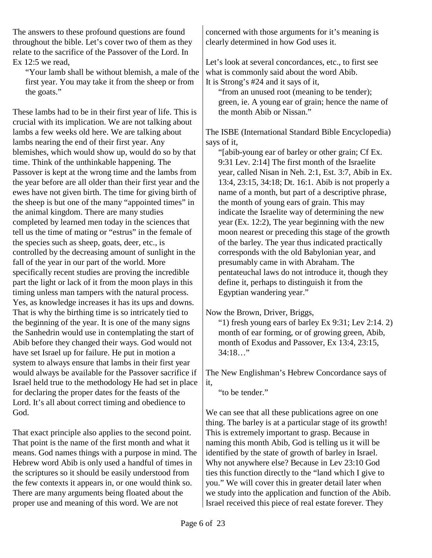The answers to these profound questions are found throughout the bible. Let's cover two of them as they relate to the sacrifice of the Passover of the Lord. In Ex 12:5 we read,

"Your lamb shall be without blemish, a male of the first year. You may take it from the sheep or from the goats."

These lambs had to be in their first year of life. This is crucial with its implication. We are not talking about lambs a few weeks old here. We are talking about lambs nearing the end of their first year. Any blemishes, which would show up, would do so by that time. Think of the unthinkable happening. The Passover is kept at the wrong time and the lambs from the year before are all older than their first year and the ewes have not given birth. The time for giving birth of the sheep is but one of the many "appointed times" in the animal kingdom. There are many studies completed by learned men today in the sciences that tell us the time of mating or "estrus" in the female of the species such as sheep, goats, deer, etc., is controlled by the decreasing amount of sunlight in the fall of the year in our part of the world. More specifically recent studies are proving the incredible part the light or lack of it from the moon plays in this timing unless man tampers with the natural process. Yes, as knowledge increases it has its ups and downs. That is why the birthing time is so intricately tied to the beginning of the year. It is one of the many signs the Sanhedrin would use in contemplating the start of Abib before they changed their ways. God would not have set Israel up for failure. He put in motion a system to always ensure that lambs in their first year would always be available for the Passover sacrifice if Israel held true to the methodology He had set in place for declaring the proper dates for the feasts of the Lord. It's all about correct timing and obedience to God.

That exact principle also applies to the second point. That point is the name of the first month and what it means. God names things with a purpose in mind. The Hebrew word Abib is only used a handful of times in the scriptures so it should be easily understood from the few contexts it appears in, or one would think so. There are many arguments being floated about the proper use and meaning of this word. We are not

concerned with those arguments for it's meaning is clearly determined in how God uses it.

Let's look at several concordances, etc., to first see what is commonly said about the word Abib. It is Strong's #24 and it says of it,

"from an unused root (meaning to be tender); green, ie. A young ear of grain; hence the name of the month Abib or Nissan."

The ISBE (International Standard Bible Encyclopedia) says of it,

"[abib-young ear of barley or other grain; Cf Ex. 9:31 Lev. 2:14] The first month of the Israelite year, called Nisan in Neh. 2:1, Est. 3:7, Abib in Ex. 13:4, 23:15, 34:18; Dt. 16:1. Abib is not properly a name of a month, but part of a descriptive phrase, the month of young ears of grain. This may indicate the Israelite way of determining the new year (Ex. 12:2), The year beginning with the new moon nearest or preceding this stage of the growth of the barley. The year thus indicated practically corresponds with the old Babylonian year, and presumably came in with Abraham. The pentateuchal laws do not introduce it, though they define it, perhaps to distinguish it from the Egyptian wandering year."

Now the Brown, Driver, Briggs,

"1) fresh young ears of barley Ex  $9:31$ ; Lev  $2:14.2$ ) month of ear forming, or of growing green, Abib, month of Exodus and Passover, Ex 13:4, 23:15, 34:18…"

The New Englishman's Hebrew Concordance says of

"to be tender."

We can see that all these publications agree on one thing. The barley is at a particular stage of its growth! This is extremely important to grasp. Because in naming this month Abib, God is telling us it will be identified by the state of growth of barley in Israel. Why not anywhere else? Because in Lev 23:10 God ties this function directly to the "land which I give to you." We will cover this in greater detail later when we study into the application and function of the Abib. Israel received this piece of real estate forever. They

it,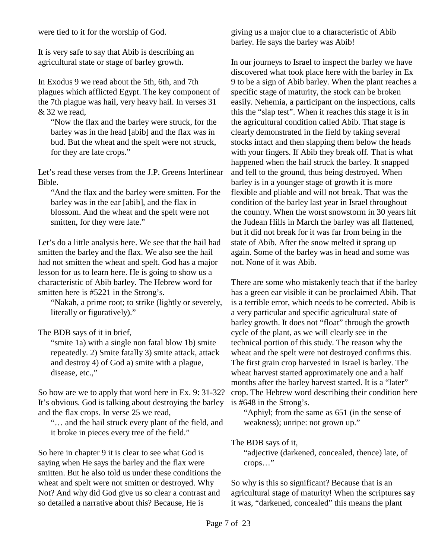were tied to it for the worship of God.

It is very safe to say that Abib is describing an agricultural state or stage of barley growth.

In Exodus 9 we read about the 5th, 6th, and 7th plagues which afflicted Egypt. The key component of the 7th plague was hail, very heavy hail. In verses 31 & 32 we read,

"Now the flax and the barley were struck, for the barley was in the head [abib] and the flax was in bud. But the wheat and the spelt were not struck, for they are late crops."

Let's read these verses from the J.P. Greens Interlinear Bible.

"And the flax and the barley were smitten. For the barley was in the ear [abib], and the flax in blossom. And the wheat and the spelt were not smitten, for they were late."

Let's do a little analysis here. We see that the hail had smitten the barley and the flax. We also see the hail had not smitten the wheat and spelt. God has a major lesson for us to learn here. He is going to show us a characteristic of Abib barley. The Hebrew word for smitten here is #5221 in the Strong's.

"Nakah, a prime root; to strike (lightly or severely, literally or figuratively)."

The BDB says of it in brief,

"smite 1a) with a single non fatal blow 1b) smite repeatedly. 2) Smite fatally 3) smite attack, attack and destroy 4) of God a) smite with a plague, disease, etc.,"

So how are we to apply that word here in Ex. 9: 31-32? It's obvious. God is talking about destroying the barley and the flax crops. In verse 25 we read,

"… and the hail struck every plant of the field, and it broke in pieces every tree of the field."

So here in chapter 9 it is clear to see what God is saying when He says the barley and the flax were smitten. But he also told us under these conditions the wheat and spelt were not smitten or destroyed. Why Not? And why did God give us so clear a contrast and so detailed a narrative about this? Because, He is

giving us a major clue to a characteristic of Abib barley. He says the barley was Abib!

In our journeys to Israel to inspect the barley we have discovered what took place here with the barley in Ex 9 to be a sign of Abib barley. When the plant reaches a specific stage of maturity, the stock can be broken easily. Nehemia, a participant on the inspections, calls this the "slap test". When it reaches this stage it is in the agricultural condition called Abib. That stage is clearly demonstrated in the field by taking several stocks intact and then slapping them below the heads with your fingers. If Abib they break off. That is what happened when the hail struck the barley. It snapped and fell to the ground, thus being destroyed. When barley is in a younger stage of growth it is more flexible and pliable and will not break. That was the condition of the barley last year in Israel throughout the country. When the worst snowstorm in 30 years hit the Judean Hills in March the barley was all flattened, but it did not break for it was far from being in the state of Abib. After the snow melted it sprang up again. Some of the barley was in head and some was not. None of it was Abib.

There are some who mistakenly teach that if the barley has a green ear visible it can be proclaimed Abib. That is a terrible error, which needs to be corrected. Abib is a very particular and specific agricultural state of barley growth. It does not "float" through the growth cycle of the plant, as we will clearly see in the technical portion of this study. The reason why the wheat and the spelt were not destroyed confirms this. The first grain crop harvested in Israel is barley. The wheat harvest started approximately one and a half months after the barley harvest started. It is a "later" crop. The Hebrew word describing their condition here is #648 in the Strong's.

"Aphiyl; from the same as 651 (in the sense of weakness); unripe: not grown up."

The BDB says of it,

"adjective (darkened, concealed, thence) late, of crops…"

So why is this so significant? Because that is an agricultural stage of maturity! When the scriptures say it was, "darkened, concealed" this means the plant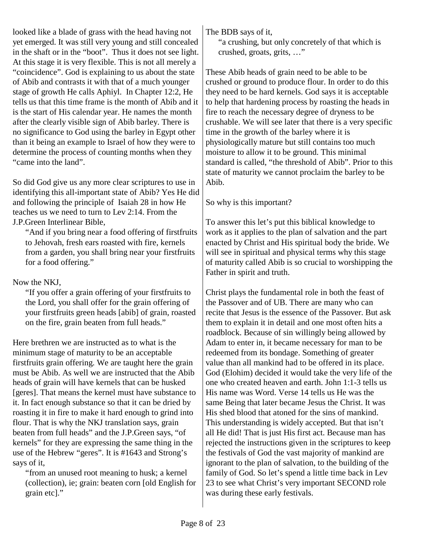looked like a blade of grass with the head having not yet emerged. It was still very young and still concealed in the shaft or in the "boot". Thus it does not see light. At this stage it is very flexible. This is not all merely a "coincidence". God is explaining to us about the state of Abib and contrasts it with that of a much younger stage of growth He calls Aphiyl. In Chapter 12:2, He tells us that this time frame is the month of Abib and it is the start of His calendar year. He names the month after the clearly visible sign of Abib barley. There is no significance to God using the barley in Egypt other than it being an example to Israel of how they were to determine the process of counting months when they "came into the land".

So did God give us any more clear scriptures to use in identifying this all-important state of Abib? Yes He did and following the principle of Isaiah 28 in how He teaches us we need to turn to Lev 2:14. From the J.P.Green Interlinear Bible,

"And if you bring near a food offering of firstfruits to Jehovah, fresh ears roasted with fire, kernels from a garden, you shall bring near your firstfruits for a food offering."

## Now the NKJ,

"If you offer a grain offering of your firstfruits to the Lord, you shall offer for the grain offering of your firstfruits green heads [abib] of grain, roasted on the fire, grain beaten from full heads."

Here brethren we are instructed as to what is the minimum stage of maturity to be an acceptable firstfruits grain offering. We are taught here the grain must be Abib. As well we are instructed that the Abib heads of grain will have kernels that can be husked [geres]. That means the kernel must have substance to it. In fact enough substance so that it can be dried by roasting it in fire to make it hard enough to grind into flour. That is why the NKJ translation says, grain beaten from full heads" and the J.P.Green says, "of kernels" for they are expressing the same thing in the use of the Hebrew "geres". It is #1643 and Strong's says of it,

"from an unused root meaning to husk; a kernel (collection), ie; grain: beaten corn [old English for grain etc]."

The BDB says of it,

"a crushing, but only concretely of that which is crushed, groats, grits, …"

These Abib heads of grain need to be able to be crushed or ground to produce flour. In order to do this they need to be hard kernels. God says it is acceptable to help that hardening process by roasting the heads in fire to reach the necessary degree of dryness to be crushable. We will see later that there is a very specific time in the growth of the barley where it is physiologically mature but still contains too much moisture to allow it to be ground. This minimal standard is called, "the threshold of Abib". Prior to this state of maturity we cannot proclaim the barley to be Abib.

So why is this important?

To answer this let's put this biblical knowledge to work as it applies to the plan of salvation and the part enacted by Christ and His spiritual body the bride. We will see in spiritual and physical terms why this stage of maturity called Abib is so crucial to worshipping the Father in spirit and truth.

Christ plays the fundamental role in both the feast of the Passover and of UB. There are many who can recite that Jesus is the essence of the Passover. But ask them to explain it in detail and one most often hits a roadblock. Because of sin willingly being allowed by Adam to enter in, it became necessary for man to be redeemed from its bondage. Something of greater value than all mankind had to be offered in its place. God (Elohim) decided it would take the very life of the one who created heaven and earth. John 1:1-3 tells us His name was Word. Verse 14 tells us He was the same Being that later became Jesus the Christ. It was His shed blood that atoned for the sins of mankind. This understanding is widely accepted. But that isn't all He did! That is just His first act. Because man has rejected the instructions given in the scriptures to keep the festivals of God the vast majority of mankind are ignorant to the plan of salvation, to the building of the family of God. So let's spend a little time back in Lev 23 to see what Christ's very important SECOND role was during these early festivals.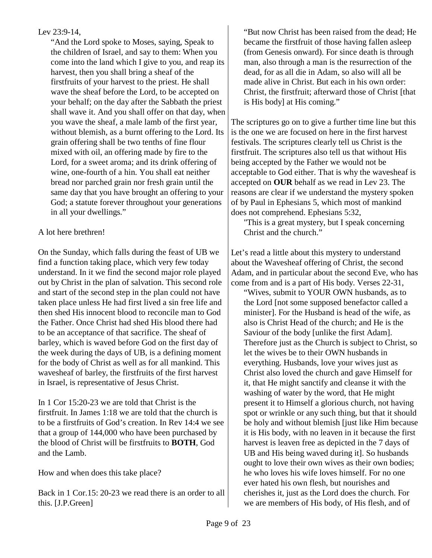### Lev 23:9-14,

"And the Lord spoke to Moses, saying, Speak to the children of Israel, and say to them: When you come into the land which I give to you, and reap its harvest, then you shall bring a sheaf of the firstfruits of your harvest to the priest. He shall wave the sheaf before the Lord, to be accepted on your behalf; on the day after the Sabbath the priest shall wave it. And you shall offer on that day, when you wave the sheaf, a male lamb of the first year, without blemish, as a burnt offering to the Lord. Its grain offering shall be two tenths of fine flour mixed with oil, an offering made by fire to the Lord, for a sweet aroma; and its drink offering of wine, one-fourth of a hin. You shall eat neither bread nor parched grain nor fresh grain until the same day that you have brought an offering to your God; a statute forever throughout your generations in all your dwellings."

## A lot here brethren!

On the Sunday, which falls during the feast of UB we find a function taking place, which very few today understand. In it we find the second major role played out by Christ in the plan of salvation. This second role and start of the second step in the plan could not have taken place unless He had first lived a sin free life and then shed His innocent blood to reconcile man to God the Father. Once Christ had shed His blood there had to be an acceptance of that sacrifice. The sheaf of barley, which is waved before God on the first day of the week during the days of UB, is a defining moment for the body of Christ as well as for all mankind. This wavesheaf of barley, the firstfruits of the first harvest in Israel, is representative of Jesus Christ.

In 1 Cor 15:20-23 we are told that Christ is the firstfruit. In James 1:18 we are told that the church is to be a firstfruits of God's creation. In Rev 14:4 we see that a group of 144,000 who have been purchased by the blood of Christ will be firstfruits to **BOTH**, God and the Lamb.

How and when does this take place?

Back in 1 Cor.15: 20-23 we read there is an order to all this. [J.P.Green]

The scriptures go on to give a further time line but this is the one we are focused on here in the first harvest festivals. The scriptures clearly tell us Christ is the firstfruit. The scriptures also tell us that without His being accepted by the Father we would not be acceptable to God either. That is why the wavesheaf is accepted on **OUR** behalf as we read in Lev 23. The reasons are clear if we understand the mystery spoken of by Paul in Ephesians 5, which most of mankind does not comprehend. Ephesians 5:32,

"This is a great mystery, but I speak concerning Christ and the church."

Let's read a little about this mystery to understand about the Wavesheaf offering of Christ, the second Adam, and in particular about the second Eve, who has come from and is a part of His body. Verses 22-31,

"Wives, submit to YOUR OWN husbands, as to the Lord [not some supposed benefactor called a minister]. For the Husband is head of the wife, as also is Christ Head of the church; and He is the Saviour of the body [unlike the first Adam]. Therefore just as the Church is subject to Christ, so let the wives be to their OWN husbands in everything. Husbands, love your wives just as Christ also loved the church and gave Himself for it, that He might sanctify and cleanse it with the washing of water by the word, that He might present it to Himself a glorious church, not having spot or wrinkle or any such thing, but that it should be holy and without blemish [just like Him because it is His body, with no leaven in it because the first harvest is leaven free as depicted in the 7 days of UB and His being waved during it]. So husbands ought to love their own wives as their own bodies; he who loves his wife loves himself. For no one ever hated his own flesh, but nourishes and cherishes it, just as the Lord does the church. For we are members of His body, of His flesh, and of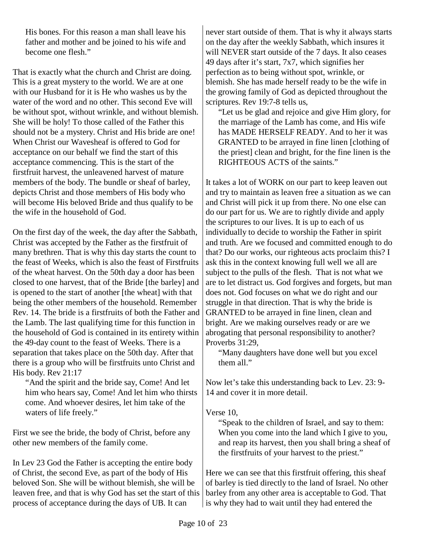His bones. For this reason a man shall leave his father and mother and be joined to his wife and become one flesh."

That is exactly what the church and Christ are doing. This is a great mystery to the world. We are at one with our Husband for it is He who washes us by the water of the word and no other. This second Eve will be without spot, without wrinkle, and without blemish. She will be holy! To those called of the Father this should not be a mystery. Christ and His bride are one! When Christ our Wavesheaf is offered to God for acceptance on our behalf we find the start of this acceptance commencing. This is the start of the firstfruit harvest, the unleavened harvest of mature members of the body. The bundle or sheaf of barley, depicts Christ and those members of His body who will become His beloved Bride and thus qualify to be the wife in the household of God.

On the first day of the week, the day after the Sabbath, Christ was accepted by the Father as the firstfruit of many brethren. That is why this day starts the count to the feast of Weeks, which is also the feast of Firstfruits of the wheat harvest. On the 50th day a door has been closed to one harvest, that of the Bride [the barley] and is opened to the start of another [the wheat] with that being the other members of the household. Remember Rev. 14. The bride is a firstfruits of both the Father and the Lamb. The last qualifying time for this function in the household of God is contained in its entirety within the 49-day count to the feast of Weeks. There is a separation that takes place on the 50th day. After that there is a group who will be firstfruits unto Christ and His body. Rev 21:17

"And the spirit and the bride say, Come! And let him who hears say, Come! And let him who thirsts come. And whoever desires, let him take of the waters of life freely."

First we see the bride, the body of Christ, before any other new members of the family come.

In Lev 23 God the Father is accepting the entire body of Christ, the second Eve, as part of the body of His beloved Son. She will be without blemish, she will be leaven free, and that is why God has set the start of this process of acceptance during the days of UB. It can

never start outside of them. That is why it always starts on the day after the weekly Sabbath, which insures it will NEVER start outside of the 7 days. It also ceases 49 days after it's start, 7x7, which signifies her perfection as to being without spot, wrinkle, or blemish. She has made herself ready to be the wife in the growing family of God as depicted throughout the scriptures. Rev 19:7-8 tells us,

"Let us be glad and rejoice and give Him glory, for the marriage of the Lamb has come, and His wife has MADE HERSELF READY. And to her it was GRANTED to be arrayed in fine linen [clothing of the priest] clean and bright, for the fine linen is the RIGHTEOUS ACTS of the saints."

It takes a lot of WORK on our part to keep leaven out and try to maintain as leaven free a situation as we can and Christ will pick it up from there. No one else can do our part for us. We are to rightly divide and apply the scriptures to our lives. It is up to each of us individually to decide to worship the Father in spirit and truth. Are we focused and committed enough to do that? Do our works, our righteous acts proclaim this? I ask this in the context knowing full well we all are subject to the pulls of the flesh. That is not what we are to let distract us. God forgives and forgets, but man does not. God focuses on what we do right and our struggle in that direction. That is why the bride is GRANTED to be arrayed in fine linen, clean and bright. Are we making ourselves ready or are we abrogating that personal responsibility to another? Proverbs 31:29,

"Many daughters have done well but you excel them all."

Now let's take this understanding back to Lev. 23: 9- 14 and cover it in more detail.

### Verse 10,

"Speak to the children of Israel, and say to them: When you come into the land which I give to you, and reap its harvest, then you shall bring a sheaf of the firstfruits of your harvest to the priest."

Here we can see that this firstfruit offering, this sheaf of barley is tied directly to the land of Israel. No other barley from any other area is acceptable to God. That is why they had to wait until they had entered the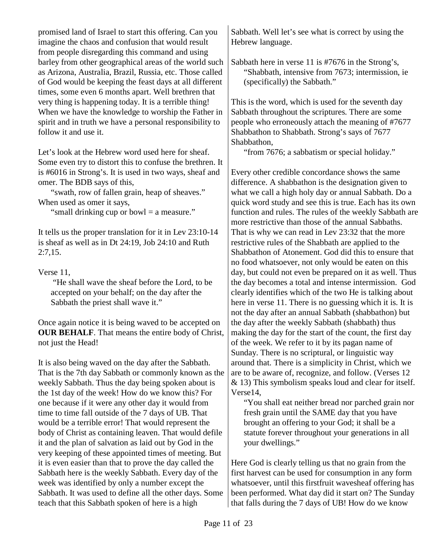promised land of Israel to start this offering. Can you imagine the chaos and confusion that would result from people disregarding this command and using barley from other geographical areas of the world such as Arizona, Australia, Brazil, Russia, etc. Those called of God would be keeping the feast days at all different times, some even 6 months apart. Well brethren that very thing is happening today. It is a terrible thing! When we have the knowledge to worship the Father in spirit and in truth we have a personal responsibility to follow it and use it.

Let's look at the Hebrew word used here for sheaf. Some even try to distort this to confuse the brethren. It is #6016 in Strong's. It is used in two ways, sheaf and omer. The BDB says of this,

"swath, row of fallen grain, heap of sheaves." When used as omer it says,

"small drinking cup or bowl = a measure."

It tells us the proper translation for it in Lev 23:10-14 is sheaf as well as in Dt 24:19, Job 24:10 and Ruth 2:7,15.

Verse 11,

 "He shall wave the sheaf before the Lord, to be accepted on your behalf; on the day after the Sabbath the priest shall wave it."

Once again notice it is being waved to be accepted on **OUR BEHALF**. That means the entire body of Christ, not just the Head!

It is also being waved on the day after the Sabbath. That is the 7th day Sabbath or commonly known as the weekly Sabbath. Thus the day being spoken about is the 1st day of the week! How do we know this? For one because if it were any other day it would from time to time fall outside of the 7 days of UB. That would be a terrible error! That would represent the body of Christ as containing leaven. That would defile it and the plan of salvation as laid out by God in the very keeping of these appointed times of meeting. But it is even easier than that to prove the day called the Sabbath here is the weekly Sabbath. Every day of the week was identified by only a number except the Sabbath. It was used to define all the other days. Some teach that this Sabbath spoken of here is a high

Sabbath. Well let's see what is correct by using the Hebrew language.

Sabbath here in verse 11 is #7676 in the Strong's, "Shabbath, intensive from 7673; intermission, ie (specifically) the Sabbath."

This is the word, which is used for the seventh day Sabbath throughout the scriptures. There are some people who erroneously attach the meaning of #7677 Shabbathon to Shabbath. Strong's says of 7677 Shabbathon,

"from 7676; a sabbatism or special holiday."

Every other credible concordance shows the same difference. A shabbathon is the designation given to what we call a high holy day or annual Sabbath. Do a quick word study and see this is true. Each has its own function and rules. The rules of the weekly Sabbath are more restrictive than those of the annual Sabbaths. That is why we can read in Lev 23:32 that the more restrictive rules of the Shabbath are applied to the Shabbathon of Atonement. God did this to ensure that no food whatsoever, not only would be eaten on this day, but could not even be prepared on it as well. Thus the day becomes a total and intense intermission. God clearly identifies which of the two He is talking about here in verse 11. There is no guessing which it is. It is not the day after an annual Sabbath (shabbathon) but the day after the weekly Sabbath (shabbath) thus making the day for the start of the count, the first day of the week. We refer to it by its pagan name of Sunday. There is no scriptural, or linguistic way around that. There is a simplicity in Christ, which we are to be aware of, recognize, and follow. (Verses 12 & 13) This symbolism speaks loud and clear for itself. Verse14,

"You shall eat neither bread nor parched grain nor fresh grain until the SAME day that you have brought an offering to your God; it shall be a statute forever throughout your generations in all your dwellings."

Here God is clearly telling us that no grain from the first harvest can be used for consumption in any form whatsoever, until this firstfruit wavesheaf offering has been performed. What day did it start on? The Sunday that falls during the 7 days of UB! How do we know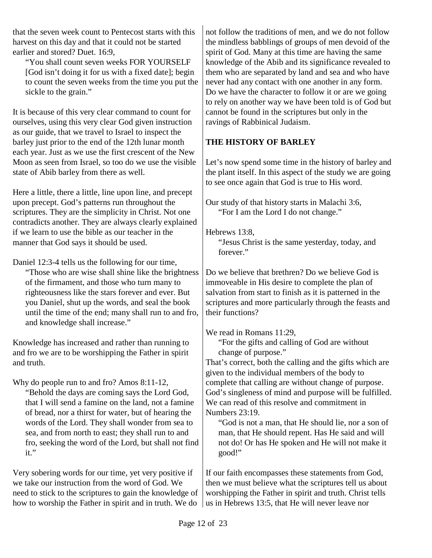that the seven week count to Pentecost starts with this harvest on this day and that it could not be started earlier and stored? Duet. 16:9,

"You shall count seven weeks FOR YOURSELF [God isn't doing it for us with a fixed date]; begin to count the seven weeks from the time you put the sickle to the grain."

It is because of this very clear command to count for ourselves, using this very clear God given instruction as our guide, that we travel to Israel to inspect the barley just prior to the end of the 12th lunar month each year. Just as we use the first crescent of the New Moon as seen from Israel, so too do we use the visible state of Abib barley from there as well.

Here a little, there a little, line upon line, and precept upon precept. God's patterns run throughout the scriptures. They are the simplicity in Christ. Not one contradicts another. They are always clearly explained if we learn to use the bible as our teacher in the manner that God says it should be used.

Daniel 12:3-4 tells us the following for our time,

"Those who are wise shall shine like the brightness of the firmament, and those who turn many to righteousness like the stars forever and ever. But you Daniel, shut up the words, and seal the book until the time of the end; many shall run to and fro, and knowledge shall increase."

Knowledge has increased and rather than running to and fro we are to be worshipping the Father in spirit and truth.

Why do people run to and fro? Amos 8:11-12,

"Behold the days are coming says the Lord God, that I will send a famine on the land, not a famine of bread, nor a thirst for water, but of hearing the words of the Lord. They shall wonder from sea to sea, and from north to east; they shall run to and fro, seeking the word of the Lord, but shall not find it."

Very sobering words for our time, yet very positive if we take our instruction from the word of God. We need to stick to the scriptures to gain the knowledge of how to worship the Father in spirit and in truth. We do

not follow the traditions of men, and we do not follow the mindless babblings of groups of men devoid of the spirit of God. Many at this time are having the same knowledge of the Abib and its significance revealed to them who are separated by land and sea and who have never had any contact with one another in any form. Do we have the character to follow it or are we going to rely on another way we have been told is of God but cannot be found in the scriptures but only in the ravings of Rabbinical Judaism.

# **THE HISTORY OF BARLEY**

Let's now spend some time in the history of barley and the plant itself. In this aspect of the study we are going to see once again that God is true to His word.

Our study of that history starts in Malachi 3:6, "For I am the Lord I do not change."

Hebrews 13:8,

"Jesus Christ is the same yesterday, today, and forever."

Do we believe that brethren? Do we believe God is immoveable in His desire to complete the plan of salvation from start to finish as it is patterned in the scriptures and more particularly through the feasts and their functions?

We read in Romans 11:29,

"For the gifts and calling of God are without change of purpose."

That's correct, both the calling and the gifts which are given to the individual members of the body to complete that calling are without change of purpose. God's singleness of mind and purpose will be fulfilled. We can read of this resolve and commitment in Numbers 23:19.

"God is not a man, that He should lie, nor a son of man, that He should repent. Has He said and will not do! Or has He spoken and He will not make it good!"

If our faith encompasses these statements from God, then we must believe what the scriptures tell us about worshipping the Father in spirit and truth. Christ tells us in Hebrews 13:5, that He will never leave nor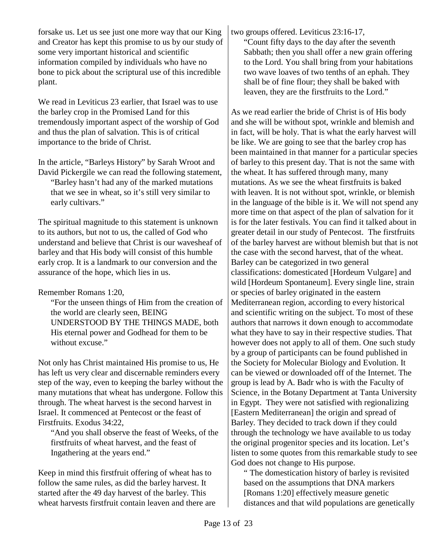forsake us. Let us see just one more way that our King and Creator has kept this promise to us by our study of some very important historical and scientific information compiled by individuals who have no bone to pick about the scriptural use of this incredible plant.

We read in Leviticus 23 earlier, that Israel was to use the barley crop in the Promised Land for this tremendously important aspect of the worship of God and thus the plan of salvation. This is of critical importance to the bride of Christ.

In the article, "Barleys History" by Sarah Wroot and David Pickergile we can read the following statement, "Barley hasn't had any of the marked mutations that we see in wheat, so it's still very similar to early cultivars."

The spiritual magnitude to this statement is unknown to its authors, but not to us, the called of God who understand and believe that Christ is our wavesheaf of barley and that His body will consist of this humble early crop. It is a landmark to our conversion and the assurance of the hope, which lies in us.

Remember Romans 1:20,

"For the unseen things of Him from the creation of the world are clearly seen, BEING UNDERSTOOD BY THE THINGS MADE, both His eternal power and Godhead for them to be without excuse."

Not only has Christ maintained His promise to us, He has left us very clear and discernable reminders every step of the way, even to keeping the barley without the many mutations that wheat has undergone. Follow this through. The wheat harvest is the second harvest in Israel. It commenced at Pentecost or the feast of Firstfruits. Exodus 34:22,

"And you shall observe the feast of Weeks, of the firstfruits of wheat harvest, and the feast of Ingathering at the years end."

Keep in mind this firstfruit offering of wheat has to follow the same rules, as did the barley harvest. It started after the 49 day harvest of the barley. This wheat harvests firstfruit contain leaven and there are two groups offered. Leviticus 23:16-17,

"Count fifty days to the day after the seventh Sabbath; then you shall offer a new grain offering to the Lord. You shall bring from your habitations two wave loaves of two tenths of an ephah. They shall be of fine flour; they shall be baked with leaven, they are the firstfruits to the Lord."

As we read earlier the bride of Christ is of His body and she will be without spot, wrinkle and blemish and in fact, will be holy. That is what the early harvest will be like. We are going to see that the barley crop has been maintained in that manner for a particular species of barley to this present day. That is not the same with the wheat. It has suffered through many, many mutations. As we see the wheat firstfruits is baked with leaven. It is not without spot, wrinkle, or blemish in the language of the bible is it. We will not spend any more time on that aspect of the plan of salvation for it is for the later festivals. You can find it talked about in greater detail in our study of Pentecost. The firstfruits of the barley harvest are without blemish but that is not the case with the second harvest, that of the wheat. Barley can be categorized in two general classifications: domesticated [Hordeum Vulgare] and wild [Hordeum Spontaneum]. Every single line, strain or species of barley originated in the eastern Mediterranean region, according to every historical and scientific writing on the subject. To most of these authors that narrows it down enough to accommodate what they have to say in their respective studies. That however does not apply to all of them. One such study by a group of participants can be found published in the Society for Molecular Biology and Evolution. It can be viewed or downloaded off of the Internet. The group is lead by A. Badr who is with the Faculty of Science, in the Botany Department at Tanta University in Egypt. They were not satisfied with regionalizing [Eastern Mediterranean] the origin and spread of Barley. They decided to track down if they could through the technology we have available to us today the original progenitor species and its location. Let's listen to some quotes from this remarkable study to see God does not change to His purpose.

" The domestication history of barley is revisited based on the assumptions that DNA markers [Romans 1:20] effectively measure genetic distances and that wild populations are genetically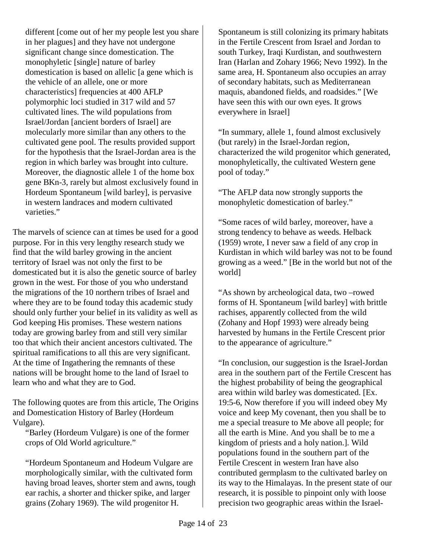different [come out of her my people lest you share in her plagues] and they have not undergone significant change since domestication. The monophyletic [single] nature of barley domestication is based on allelic [a gene which is the vehicle of an allele, one or more characteristics] frequencies at 400 AFLP polymorphic loci studied in 317 wild and 57 cultivated lines. The wild populations from Israel/Jordan [ancient borders of Israel] are molecularly more similar than any others to the cultivated gene pool. The results provided support for the hypothesis that the Israel-Jordan area is the region in which barley was brought into culture. Moreover, the diagnostic allele 1 of the home box gene BKn-3, rarely but almost exclusively found in Hordeum Spontaneum [wild barley], is pervasive in western landraces and modern cultivated varieties."

The marvels of science can at times be used for a good purpose. For in this very lengthy research study we find that the wild barley growing in the ancient territory of Israel was not only the first to be domesticated but it is also the genetic source of barley grown in the west. For those of you who understand the migrations of the 10 northern tribes of Israel and where they are to be found today this academic study should only further your belief in its validity as well as God keeping His promises. These western nations today are growing barley from and still very similar too that which their ancient ancestors cultivated. The spiritual ramifications to all this are very significant. At the time of Ingathering the remnants of these nations will be brought home to the land of Israel to learn who and what they are to God.

The following quotes are from this article, The Origins and Domestication History of Barley (Hordeum Vulgare).

"Barley (Hordeum Vulgare) is one of the former crops of Old World agriculture."

"Hordeum Spontaneum and Hodeum Vulgare are morphologically similar, with the cultivated form having broad leaves, shorter stem and awns, tough ear rachis, a shorter and thicker spike, and larger grains (Zohary 1969). The wild progenitor H.

Spontaneum is still colonizing its primary habitats in the Fertile Crescent from Israel and Jordan to south Turkey, Iraqi Kurdistan, and southwestern Iran (Harlan and Zohary 1966; Nevo 1992). In the same area, H. Spontaneum also occupies an array of secondary habitats, such as Mediterranean maquis, abandoned fields, and roadsides." [We have seen this with our own eyes. It grows everywhere in Israel]

"In summary, allele 1, found almost exclusively (but rarely) in the Israel-Jordan region, characterized the wild progenitor which generated, monophyletically, the cultivated Western gene pool of today."

"The AFLP data now strongly supports the monophyletic domestication of barley."

"Some races of wild barley, moreover, have a strong tendency to behave as weeds. Helback (1959) wrote, I never saw a field of any crop in Kurdistan in which wild barley was not to be found growing as a weed." [Be in the world but not of the world]

"As shown by archeological data, two –rowed forms of H. Spontaneum [wild barley] with brittle rachises, apparently collected from the wild (Zohany and Hopf 1993) were already being harvested by humans in the Fertile Crescent prior to the appearance of agriculture."

"In conclusion, our suggestion is the Israel-Jordan area in the southern part of the Fertile Crescent has the highest probability of being the geographical area within wild barley was domesticated. [Ex. 19:5-6, Now therefore if you will indeed obey My voice and keep My covenant, then you shall be to me a special treasure to Me above all people; for all the earth is Mine. And you shall be to me a kingdom of priests and a holy nation.]. Wild populations found in the southern part of the Fertile Crescent in western Iran have also contributed germplasm to the cultivated barley on its way to the Himalayas. In the present state of our research, it is possible to pinpoint only with loose precision two geographic areas within the Israel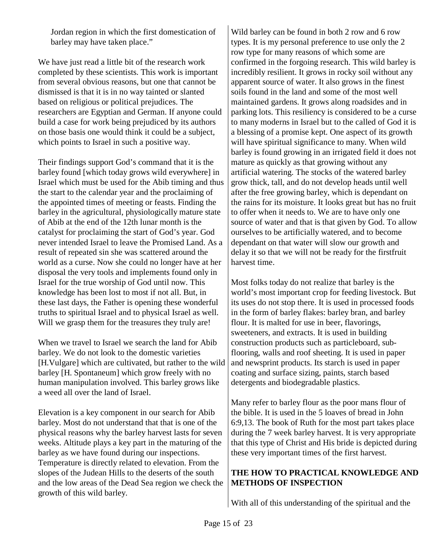Jordan region in which the first domestication of barley may have taken place."

We have just read a little bit of the research work completed by these scientists. This work is important from several obvious reasons, but one that cannot be dismissed is that it is in no way tainted or slanted based on religious or political prejudices. The researchers are Egyptian and German. If anyone could build a case for work being prejudiced by its authors on those basis one would think it could be a subject, which points to Israel in such a positive way.

Their findings support God's command that it is the barley found [which today grows wild everywhere] in Israel which must be used for the Abib timing and thus the start to the calendar year and the proclaiming of the appointed times of meeting or feasts. Finding the barley in the agricultural, physiologically mature state of Abib at the end of the 12th lunar month is the catalyst for proclaiming the start of God's year. God never intended Israel to leave the Promised Land. As a result of repeated sin she was scattered around the world as a curse. Now she could no longer have at her disposal the very tools and implements found only in Israel for the true worship of God until now. This knowledge has been lost to most if not all. But, in these last days, the Father is opening these wonderful truths to spiritual Israel and to physical Israel as well. Will we grasp them for the treasures they truly are!

When we travel to Israel we search the land for Abib barley. We do not look to the domestic varieties [H.Vulgare] which are cultivated, but rather to the wild barley [H. Spontaneum] which grow freely with no human manipulation involved. This barley grows like a weed all over the land of Israel.

Elevation is a key component in our search for Abib barley. Most do not understand that that is one of the physical reasons why the barley harvest lasts for seven weeks. Altitude plays a key part in the maturing of the barley as we have found during our inspections. Temperature is directly related to elevation. From the slopes of the Judean Hills to the deserts of the south and the low areas of the Dead Sea region we check the growth of this wild barley.

Wild barley can be found in both 2 row and 6 row types. It is my personal preference to use only the 2 row type for many reasons of which some are confirmed in the forgoing research. This wild barley is incredibly resilient. It grows in rocky soil without any apparent source of water. It also grows in the finest soils found in the land and some of the most well maintained gardens. It grows along roadsides and in parking lots. This resiliency is considered to be a curse to many moderns in Israel but to the called of God it is a blessing of a promise kept. One aspect of its growth will have spiritual significance to many. When wild barley is found growing in an irrigated field it does not mature as quickly as that growing without any artificial watering. The stocks of the watered barley grow thick, tall, and do not develop heads until well after the free growing barley, which is dependant on the rains for its moisture. It looks great but has no fruit to offer when it needs to. We are to have only one source of water and that is that given by God. To allow ourselves to be artificially watered, and to become dependant on that water will slow our growth and delay it so that we will not be ready for the firstfruit harvest time.

Most folks today do not realize that barley is the world's most important crop for feeding livestock. But its uses do not stop there. It is used in processed foods in the form of barley flakes: barley bran, and barley flour. It is malted for use in beer, flavorings, sweeteners, and extracts. It is used in building construction products such as particleboard, subflooring, walls and roof sheeting. It is used in paper and newsprint products. Its starch is used in paper coating and surface sizing, paints, starch based detergents and biodegradable plastics.

Many refer to barley flour as the poor mans flour of the bible. It is used in the 5 loaves of bread in John 6:9,13. The book of Ruth for the most part takes place during the 7 week barley harvest. It is very appropriate that this type of Christ and His bride is depicted during these very important times of the first harvest.

# **THE HOW TO PRACTICAL KNOWLEDGE AND METHODS OF INSPECTION**

With all of this understanding of the spiritual and the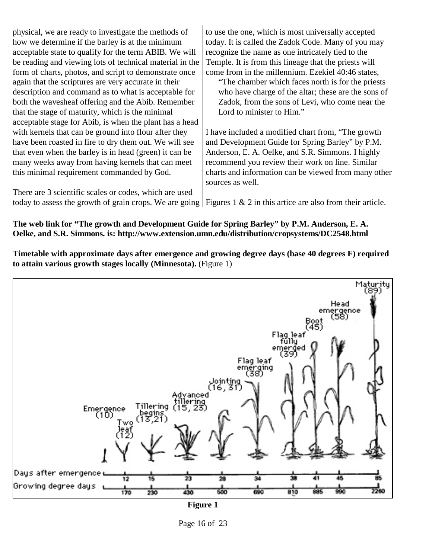physical, we are ready to investigate the methods of how we determine if the barley is at the minimum acceptable state to qualify for the term ABIB. We will be reading and viewing lots of technical material in the form of charts, photos, and script to demonstrate once again that the scriptures are very accurate in their description and command as to what is acceptable for both the wavesheaf offering and the Abib. Remember that the stage of maturity, which is the minimal acceptable stage for Abib, is when the plant has a head with kernels that can be ground into flour after they have been roasted in fire to dry them out. We will see that even when the barley is in head (green) it can be many weeks away from having kernels that can meet this minimal requirement commanded by God.

There are 3 scientific scales or codes, which are used

to use the one, which is most universally accepted today. It is called the Zadok Code. Many of you may recognize the name as one intricately tied to the Temple. It is from this lineage that the priests will come from in the millennium. Ezekiel 40:46 states,

"The chamber which faces north is for the priests who have charge of the altar; these are the sons of Zadok, from the sons of Levi, who come near the Lord to minister to Him."

I have included a modified chart from, "The growth and Development Guide for Spring Barley" by P.M. Anderson, E. A. Oelke, and S.R. Simmons. I highly recommend you review their work on line. Similar charts and information can be viewed from many other sources as well.

today to assess the growth of grain crops. We are going Figures 1 & 2 in this artice are also from their article.

#### **The web link for "The growth and Development Guide for Spring Barley" by P.M. Anderson, E. A. Oelke, and S.R. Simmons. is: http://www.extension.umn.edu/distribution/cropsystems/DC2548.html**

**Timetable with approximate days after emergence and growing degree days (base 40 degrees F) required to attain various growth stages locally (Minnesota).** (Figure 1)



**Figure 1**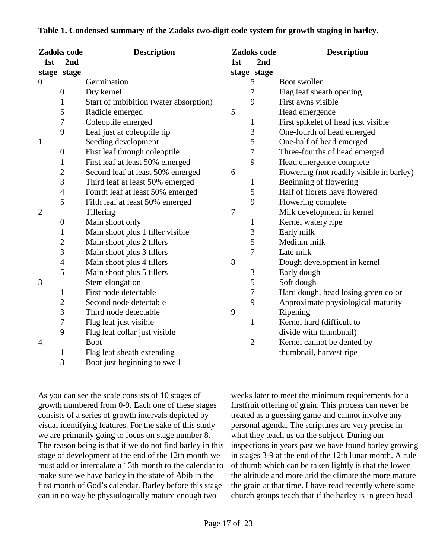| 1st            | Zadoks code<br>2nd | <b>Description</b>                     | 1 <sub>st</sub> | Zadoks code<br>2 <sub>nd</sub> | <b>Description</b>                        |
|----------------|--------------------|----------------------------------------|-----------------|--------------------------------|-------------------------------------------|
|                | stage stage        |                                        |                 | stage stage                    |                                           |
| $\overline{0}$ |                    | Germination                            |                 | 5                              | Boot swollen                              |
|                | $\overline{0}$     | Dry kernel                             |                 | 7                              | Flag leaf sheath opening                  |
|                | $\mathbf{1}$       | Start of imbibition (water absorption) |                 | 9                              | First awns visible                        |
|                | 5                  | Radicle emerged                        | 5               |                                | Head emergence                            |
|                | 7                  | Coleoptile emerged                     |                 | $\mathbf{1}$                   | First spikelet of head just visible       |
|                | 9                  | Leaf just at coleoptile tip            |                 | 3                              | One-fourth of head emerged                |
| $\mathbf{1}$   |                    | Seeding development                    |                 | 5                              | One-half of head emerged                  |
|                | $\boldsymbol{0}$   | First leaf through coleoptile          |                 | $\overline{7}$                 | Three-fourths of head emerged             |
|                | 1                  | First leaf at least 50% emerged        |                 | 9                              | Head emergence complete                   |
|                | $\overline{2}$     | Second leaf at least 50% emerged       | 6               |                                | Flowering (not readily visible in barley) |
|                | 3                  | Third leaf at least 50% emerged        |                 | $\mathbf{1}$                   | Beginning of flowering                    |
|                | $\overline{4}$     | Fourth leaf at least 50% emerged       |                 | 5                              | Half of florets have flowered             |
|                | 5                  | Fifth leaf at least 50% emerged        |                 | 9                              | Flowering complete                        |
| $\mathbf{2}$   |                    | Tillering                              | 7               |                                | Milk development in kernel                |
|                | $\boldsymbol{0}$   | Main shoot only                        |                 | 1                              | Kernel watery ripe                        |
|                | 1                  | Main shoot plus 1 tiller visible       |                 | 3                              | Early milk                                |
|                | $\overline{c}$     | Main shoot plus 2 tillers              |                 | 5                              | Medium milk                               |
|                | 3                  | Main shoot plus 3 tillers              |                 | 7                              | Late milk                                 |
|                | $\overline{4}$     | Main shoot plus 4 tillers              | 8               |                                | Dough development in kernel               |
|                | 5                  | Main shoot plus 5 tillers              |                 | 3                              | Early dough                               |
| 3              |                    | Stem elongation                        |                 | 5                              | Soft dough                                |
|                | $\mathbf{1}$       | First node detectable                  |                 | $\overline{7}$                 | Hard dough, head losing green color       |
|                | $\overline{2}$     | Second node detectable                 |                 | 9                              | Approximate physiological maturity        |
|                | 3                  | Third node detectable                  | 9               |                                | Ripening                                  |
|                | 7                  | Flag leaf just visible                 |                 | $\mathbf{1}$                   | Kernel hard (difficult to                 |
|                | 9                  | Flag leaf collar just visible          |                 |                                | divide with thumbnail)                    |
| 4              |                    | <b>Boot</b>                            |                 | $\overline{2}$                 | Kernel cannot be dented by                |
|                | 1                  | Flag leaf sheath extending             |                 |                                | thumbnail, harvest ripe                   |
|                | 3                  | Boot just beginning to swell           |                 |                                |                                           |

### **Table 1. Condensed summary of the Zadoks two-digit code system for growth staging in barley.**

As you can see the scale consists of 10 stages of growth numbered from 0-9. Each one of these stages consists of a series of growth intervals depicted by visual identifying features. For the sake of this study we are primarily going to focus on stage number 8. The reason being is that if we do not find barley in this stage of development at the end of the 12th month we must add or intercalate a 13th month to the calendar to make sure we have barley in the state of Abib in the first month of God's calendar. Barley before this stage can in no way be physiologically mature enough two

weeks later to meet the minimum requirements for a firstfruit offering of grain. This process can never be treated as a guessing game and cannot involve any personal agenda. The scriptures are very precise in what they teach us on the subject. During our inspections in years past we have found barley growing in stages 3-9 at the end of the 12th lunar month. A rule of thumb which can be taken lightly is that the lower the altitude and more arid the climate the more mature the grain at that time. I have read recently where some church groups teach that if the barley is in green head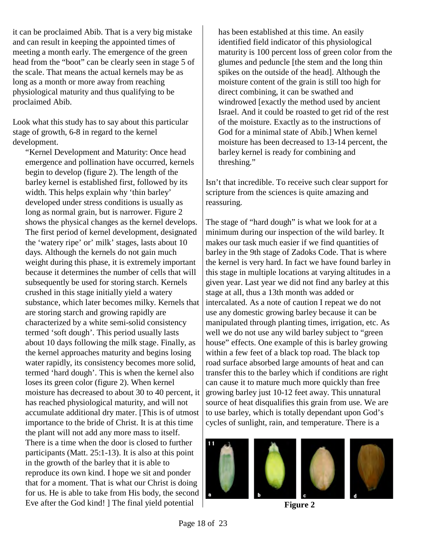it can be proclaimed Abib. That is a very big mistake and can result in keeping the appointed times of meeting a month early. The emergence of the green head from the "boot" can be clearly seen in stage 5 of the scale. That means the actual kernels may be as long as a month or more away from reaching physiological maturity and thus qualifying to be proclaimed Abib.

Look what this study has to say about this particular stage of growth, 6-8 in regard to the kernel development.

"Kernel Development and Maturity: Once head emergence and pollination have occurred, kernels begin to develop (figure 2). The length of the barley kernel is established first, followed by its width. This helps explain why 'thin barley' developed under stress conditions is usually as long as normal grain, but is narrower. Figure 2 shows the physical changes as the kernel develops. The first period of kernel development, designated the 'watery ripe' or' milk' stages, lasts about 10 days. Although the kernels do not gain much weight during this phase, it is extremely important because it determines the number of cells that will subsequently be used for storing starch. Kernels crushed in this stage initially yield a watery substance, which later becomes milky. Kernels that are storing starch and growing rapidly are characterized by a white semi-solid consistency termed 'soft dough'. This period usually lasts about 10 days following the milk stage. Finally, as the kernel approaches maturity and begins losing water rapidly, its consistency becomes more solid, termed 'hard dough'. This is when the kernel also loses its green color (figure 2). When kernel moisture has decreased to about 30 to 40 percent, it has reached physiological maturity, and will not accumulate additional dry mater. [This is of utmost importance to the bride of Christ. It is at this time the plant will not add any more mass to itself. There is a time when the door is closed to further participants (Matt. 25:1-13). It is also at this point in the growth of the barley that it is able to reproduce its own kind. I hope we sit and ponder that for a moment. That is what our Christ is doing for us. He is able to take from His body, the second Eve after the God kind! ] The final yield potential

has been established at this time. An easily identified field indicator of this physiological maturity is 100 percent loss of green color from the glumes and peduncle [the stem and the long thin spikes on the outside of the head]. Although the moisture content of the grain is still too high for direct combining, it can be swathed and windrowed [exactly the method used by ancient Israel. And it could be roasted to get rid of the rest of the moisture. Exactly as to the instructions of God for a minimal state of Abib.] When kernel moisture has been decreased to 13-14 percent, the barley kernel is ready for combining and threshing."

Isn't that incredible. To receive such clear support for scripture from the sciences is quite amazing and reassuring.

The stage of "hard dough" is what we look for at a minimum during our inspection of the wild barley. It makes our task much easier if we find quantities of barley in the 9th stage of Zadoks Code. That is where the kernel is very hard. In fact we have found barley in this stage in multiple locations at varying altitudes in a given year. Last year we did not find any barley at this stage at all, thus a 13th month was added or intercalated. As a note of caution I repeat we do not use any domestic growing barley because it can be manipulated through planting times, irrigation, etc. As well we do not use any wild barley subject to "green house" effects. One example of this is barley growing within a few feet of a black top road. The black top road surface absorbed large amounts of heat and can transfer this to the barley which if conditions are right can cause it to mature much more quickly than free growing barley just 10-12 feet away. This unnatural source of heat disqualifies this grain from use. We are to use barley, which is totally dependant upon God's cycles of sunlight, rain, and temperature. There is a







**Figure 2**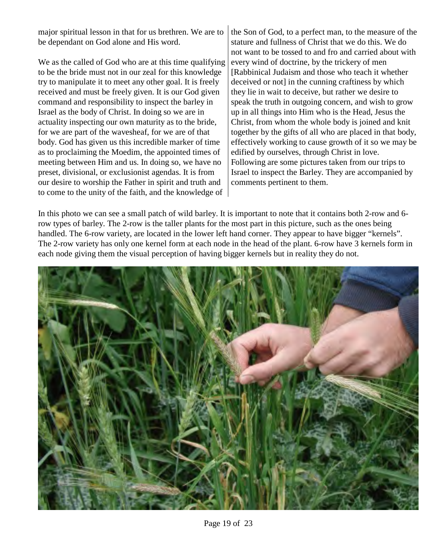major spiritual lesson in that for us brethren. We are to be dependant on God alone and His word.

We as the called of God who are at this time qualifying to be the bride must not in our zeal for this knowledge try to manipulate it to meet any other goal. It is freely received and must be freely given. It is our God given command and responsibility to inspect the barley in Israel as the body of Christ. In doing so we are in actuality inspecting our own maturity as to the bride, for we are part of the wavesheaf, for we are of that body. God has given us this incredible marker of time as to proclaiming the Moedim, the appointed times of meeting between Him and us. In doing so, we have no preset, divisional, or exclusionist agendas. It is from our desire to worship the Father in spirit and truth and to come to the unity of the faith, and the knowledge of

the Son of God, to a perfect man, to the measure of the stature and fullness of Christ that we do this. We do not want to be tossed to and fro and carried about with every wind of doctrine, by the trickery of men [Rabbinical Judaism and those who teach it whether deceived or not] in the cunning craftiness by which they lie in wait to deceive, but rather we desire to speak the truth in outgoing concern, and wish to grow up in all things into Him who is the Head, Jesus the Christ, from whom the whole body is joined and knit together by the gifts of all who are placed in that body, effectively working to cause growth of it so we may be edified by ourselves, through Christ in love. Following are some pictures taken from our trips to Israel to inspect the Barley. They are accompanied by comments pertinent to them.

In this photo we can see a small patch of wild barley. It is important to note that it contains both 2-row and 6 row types of barley. The 2-row is the taller plants for the most part in this picture, such as the ones being handled. The 6-row variety, are located in the lower left hand corner. They appear to have bigger "kernels". The 2-row variety has only one kernel form at each node in the head of the plant. 6-row have 3 kernels form in each node giving them the visual perception of having bigger kernels but in reality they do not.



Page 19 of 23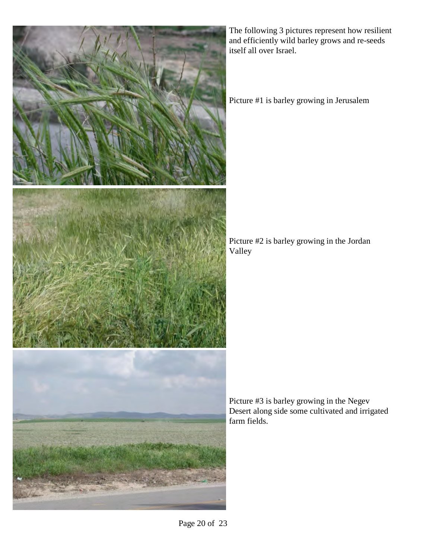

The following 3 pictures represent how resilient and efficiently wild barley grows and re-seeds itself all over Israel.

Picture #1 is barley growing in Jerusalem

Picture #2 is barley growing in the Jordan Valley

Picture #3 is barley growing in the Negev Desert along side some cultivated and irrigated farm fields.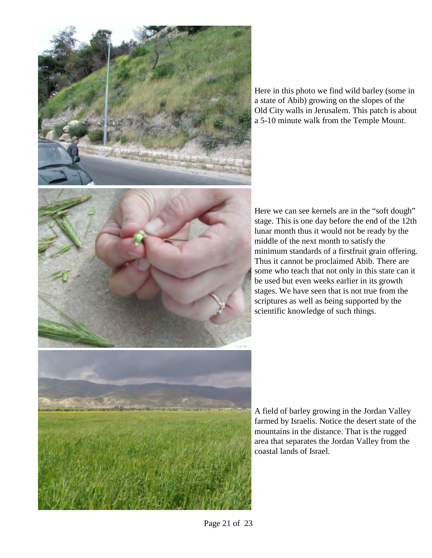

Here in this photo we find wild barley (some in a state of Abib) growing on the slopes of the Old City walls in Jerusalem. This patch is about a 5-10 minute walk from the Temple Mount.

Here we can see kernels are in the "soft dough" stage. This is one day before the end of the 12th lunar month thus it would not be ready by the middle of the next month to satisfy the minimum standards of a firstfruit grain offering. Thus it cannot be proclaimed Abib. There are some who teach that not only in this state can it be used but even weeks earlier in its growth stages. We have seen that is not true from the scriptures as well as being supported by the scientific knowledge of such things.

A field of barley growing in the Jordan Valley farmed by Israelis. Notice the desert state of the mountains in the distance. That is the rugged area that separates the Jordan Valley from the coastal lands of Israel.

Page 21 of 23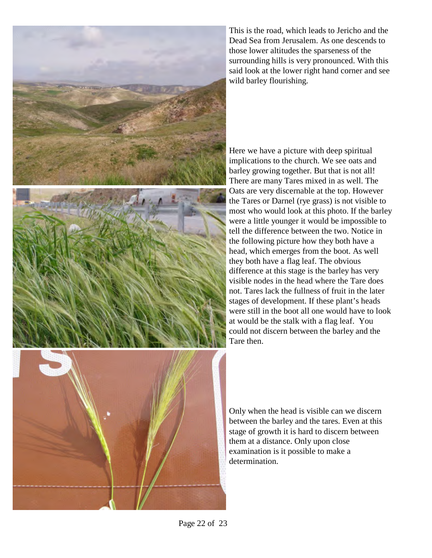

This is the road, which leads to Jericho and the Dead Sea from Jerusalem. As one descends to those lower altitudes the sparseness of the surrounding hills is very pronounced. With this said look at the lower right hand corner and see wild barley flourishing.

Here we have a picture with deep spiritual implications to the church. We see oats and barley growing together. But that is not all! There are many Tares mixed in as well. The Oats are very discernable at the top. However the Tares or Darnel (rye grass) is not visible to most who would look at this photo. If the barley were a little younger it would be impossible to tell the difference between the two. Notice in the following picture how they both have a head, which emerges from the boot. As well they both have a flag leaf. The obvious difference at this stage is the barley has very visible nodes in the head where the Tare does not. Tares lack the fullness of fruit in the later stages of development. If these plant's heads were still in the boot all one would have to look at would be the stalk with a flag leaf. You could not discern between the barley and the Tare then.

Only when the head is visible can we discern between the barley and the tares. Even at this stage of growth it is hard to discern between them at a distance. Only upon close examination is it possible to make a determination.